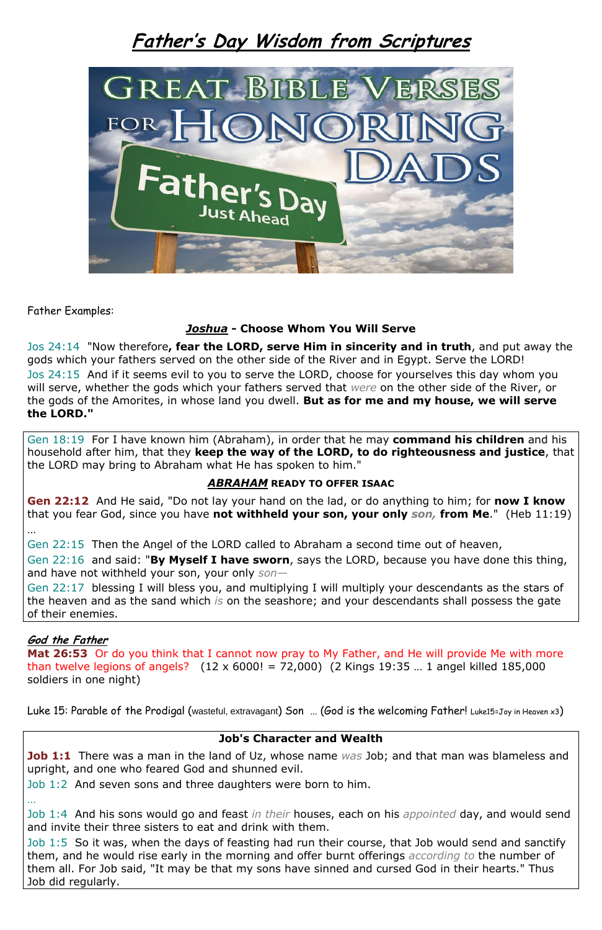# **Father's Day Wisdom from Scriptures**



Father Examples:

## *Joshua* **- Choose Whom You Will Serve**

Jos 24:14 "Now therefore**, fear the LORD, serve Him in sincerity and in truth**, and put away the gods which your fathers served on the other side of the River and in Egypt. Serve the LORD! Jos 24:15 And if it seems evil to you to serve the LORD, choose for yourselves this day whom you will serve, whether the gods which your fathers served that *were* on the other side of the River, or the gods of the Amorites, in whose land you dwell. **But as for me and my house, we will serve the LORD."** 

Gen 18:19 For I have known him (Abraham), in order that he may **command his children** and his household after him, that they **keep the way of the LORD, to do righteousness and justice**, that the LORD may bring to Abraham what He has spoken to him."

### *ABRAHAM* **READY TO OFFER ISAAC**

**Gen 22:12** And He said, "Do not lay your hand on the lad, or do anything to him; for **now I know** that you fear God, since you have **not withheld your son, your only** *son,* **from Me**." (Heb 11:19)

…

Gen 22:15 Then the Angel of the LORD called to Abraham a second time out of heaven,

Gen 22:16 and said: "**By Myself I have sworn**, says the LORD, because you have done this thing, and have not withheld your son, your only *son—*

Gen 22:17 blessing I will bless you, and multiplying I will multiply your descendants as the stars of the heaven and as the sand which *is* on the seashore; and your descendants shall possess the gate of their enemies.

### **God the Father**

**Mat 26:53** Or do you think that I cannot now pray to My Father, and He will provide Me with more than twelve legions of angels?  $(12 \times 6000! = 72,000)$   $(2$  Kings 19:35 ... 1 angel killed 185,000 soldiers in one night)

Luke 15: Parable of the Prodigal (wasteful, extravagant) Son ... (God is the welcoming Father! Luke15=Joy in Heaven x3)

#### **Job's Character and Wealth**

**Job 1:1** There was a man in the land of Uz, whose name *was* Job; and that man was blameless and upright, and one who feared God and shunned evil.

Job 1:2 And seven sons and three daughters were born to him.

…

Job 1:4 And his sons would go and feast *in their* houses, each on his *appointed* day, and would send and invite their three sisters to eat and drink with them.

Job 1:5 So it was, when the days of feasting had run their course, that Job would send and sanctify them, and he would rise early in the morning and offer burnt offerings *according to* the number of them all. For Job said, "It may be that my sons have sinned and cursed God in their hearts." Thus Job did regularly.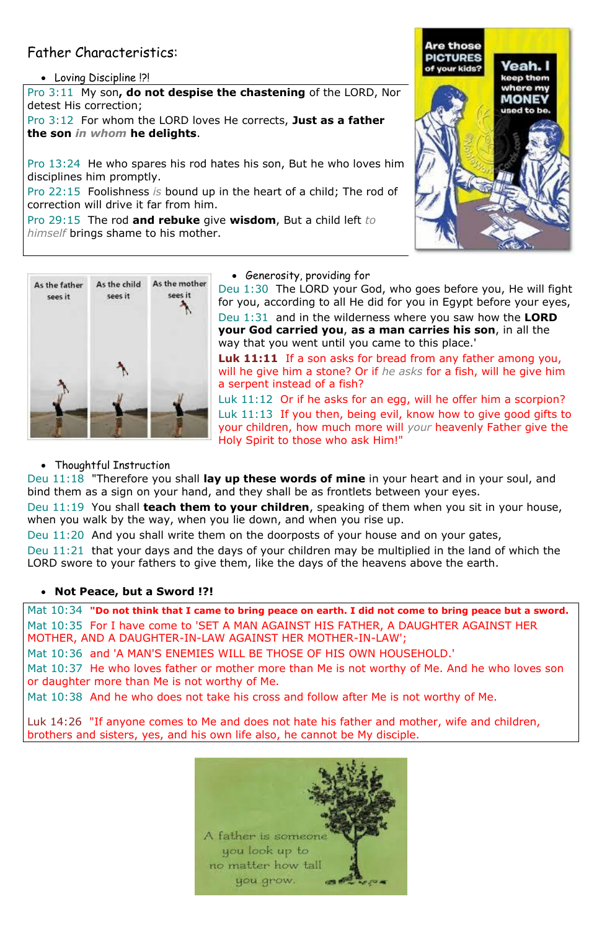# Father Characteristics:

Loving Discipline !?!

Pro 3:11 My son**, do not despise the chastening** of the LORD, Nor detest His correction;

Pro 3:12 For whom the LORD loves He corrects, **Just as a father the son** *in whom* **he delights**.

Pro 13:24 He who spares his rod hates his son, But he who loves him disciplines him promptly.

Pro 22:15 Foolishness *is* bound up in the heart of a child; The rod of correction will drive it far from him.

Pro 29:15 The rod **and rebuke** give **wisdom**, But a child left *to himself* brings shame to his mother.





• Generosity, providing for

Deu 1:30 The LORD your God, who goes before you, He will fight for you, according to all He did for you in Egypt before your eyes, Deu 1:31 and in the wilderness where you saw how the **LORD your God carried you**, **as a man carries his son**, in all the way that you went until you came to this place.'

**Luk 11:11** If a son asks for bread from any father among you, will he give him a stone? Or if *he asks* for a fish, will he give him a serpent instead of a fish?

Mat 10:34 **"Do not think that I came to bring peace on earth. I did not come to bring peace but a sword.** Mat 10:35 For I have come to 'SET A MAN AGAINST HIS FATHER, A DAUGHTER AGAINST HER MOTHER, AND A DAUGHTER-IN-LAW AGAINST HER MOTHER-IN-LAW';

Luk 11:12 Or if he asks for an egg, will he offer him a scorpion? Luk 11:13 If you then, being evil, know how to give good gifts to your children, how much more will *your* heavenly Father give the Holy Spirit to those who ask Him!"

• Thoughtful Instruction

Deu 11:18 "Therefore you shall **lay up these words of mine** in your heart and in your soul, and bind them as a sign on your hand, and they shall be as frontlets between your eyes.

Deu 11:19 You shall **teach them to your children**, speaking of them when you sit in your house, when you walk by the way, when you lie down, and when you rise up.

Deu 11:20 And you shall write them on the doorposts of your house and on your gates,

Deu 11:21 that your days and the days of your children may be multiplied in the land of which the LORD swore to your fathers to give them, like the days of the heavens above the earth.

# **Not Peace, but a Sword !?!**

Mat 10:36 and 'A MAN'S ENEMIES WILL BE THOSE OF HIS OWN HOUSEHOLD.'

Mat 10:37 He who loves father or mother more than Me is not worthy of Me. And he who loves son or daughter more than Me is not worthy of Me.

Mat 10:38 And he who does not take his cross and follow after Me is not worthy of Me.

Luk 14:26 "If anyone comes to Me and does not hate his father and mother, wife and children, brothers and sisters, yes, and his own life also, he cannot be My disciple.

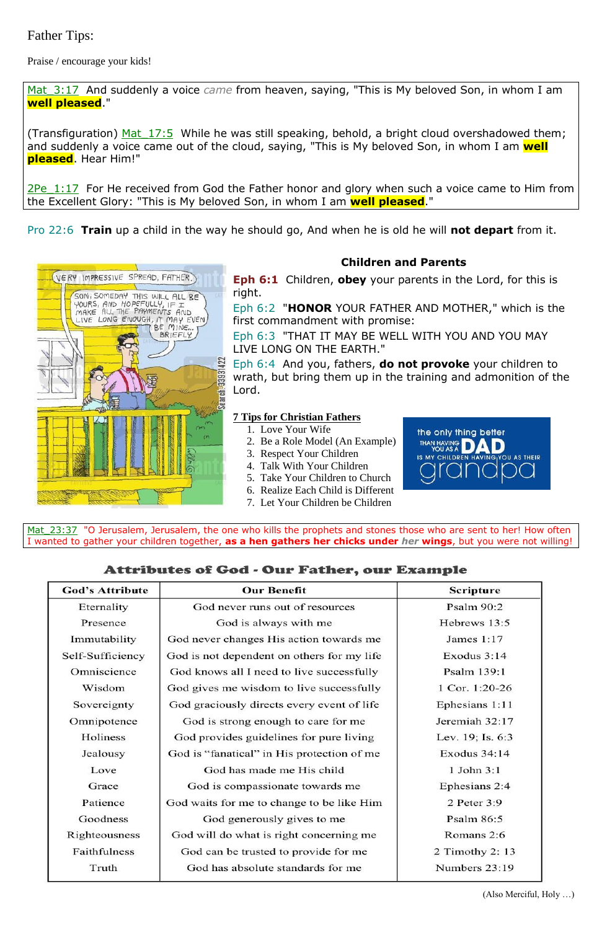# Father Tips:

Praise / encourage your kids!

Mat\_3:17 And suddenly a voice *came* from heaven, saying, "This is My beloved Son, in whom I am **well pleased**."

(Transfiguration) Mat  $17:5$  While he was still speaking, behold, a bright cloud overshadowed them; and suddenly a voice came out of the cloud, saying, "This is My beloved Son, in whom I am **well pleased**. Hear Him!"

2Pe 1:17 For He received from God the Father honor and glory when such a voice came to Him from the Excellent Glory: "This is My beloved Son, in whom I am **well pleased**."

Pro 22:6 **Train** up a child in the way he should go, And when he is old he will **not depart** from it.



## **Children and Parents**

**Eph 6:1** Children, **obey** your parents in the Lord, for this is right.

Mat 23:37 "O Jerusalem, Jerusalem, the one who kills the prophets and stones those who are sent to her! How often I wanted to gather your children together, **as a hen gathers her chicks under** *her* **wings**, but you were not willing!

# **Attributes of God - Our Father, our Example**

| <b>God's Attribute</b> | <b>Our Benefit</b>                         | <b>Scripture</b> |
|------------------------|--------------------------------------------|------------------|
| Eternality             | God never runs out of resources            | Psalm 90:2       |
| Presence               | God is always with me                      | Hebrews 13:5     |
| Immutability           | God never changes His action towards me    | James $1:17$     |
| Self-Sufficiency       | God is not dependent on others for my life | Exodus 3:14      |
| Omniscience            | God knows all I need to live successfully  | Psalm 139:1      |
| Wisdom                 | God gives me wisdom to live successfully   | 1 Cor. $1:20-26$ |
| Sovereignty            | God graciously directs every event of life | Ephesians 1:11   |
| Omnipotence            | God is strong enough to care for me        | Jeremiah 32:17   |
| Holiness               | God provides guidelines for pure living    | Lev. 19; Is. 6:3 |
| Jealousy               | God is "fanatical" in His protection of me | Exodus $34:14$   |
| Love                   | God has made me His child                  | 1 John 3:1       |
| Grace                  | God is compassionate towards me            | Ephesians 2:4    |
| Patience               | God waits for me to change to be like Him  | 2 Peter 3:9      |
| Goodness               | God generously gives to me                 | Psalm 86:5       |
| Righteousness          | God will do what is right concerning me    | Romans 2:6       |
| Faithfulness           | God can be trusted to provide for me       | 2 Timothy 2: 13  |
| Truth                  | God has absolute standards for me          | Numbers 23:19    |

Eph 6:2 "**HONOR** YOUR FATHER AND MOTHER," which is the first commandment with promise:

Eph 6:3 "THAT IT MAY BE WELL WITH YOU AND YOU MAY LIVE LONG ON THE EARTH."

Eph 6:4 And you, fathers, **do not provoke** your children to wrath, but bring them up in the training and admonition of the Lord.

#### **7 Tips for Christian Fathers**

- 1. Love Your Wife
- 2. Be a Role Model (An Example)
- 3. Respect Your Children
- 4. Talk With Your Children
- 5. Take Your Children to Church
- 6. Realize Each Child is Different
- 7. Let Your Children be Children



(Also Merciful, Holy …)